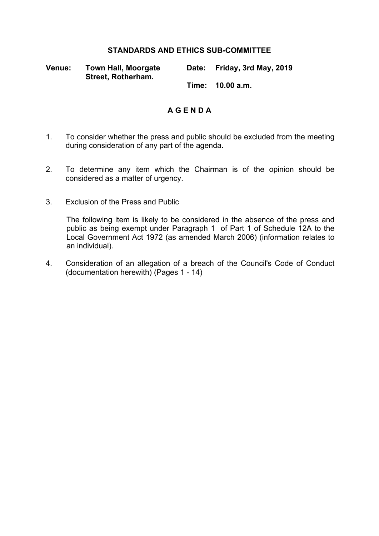## **STANDARDS AND ETHICS SUB-COMMITTEE**

**Venue: Town Hall, Moorgate Street, Rotherham. Date: Friday, 3rd May, 2019**

**Time: 10.00 a.m.**

## **A G E N D A**

- 1. To consider whether the press and public should be excluded from the meeting during consideration of any part of the agenda.
- 2. To determine any item which the Chairman is of the opinion should be considered as a matter of urgency.
- 3. Exclusion of the Press and Public

The following item is likely to be considered in the absence of the press and public as being exempt under Paragraph 1 of Part 1 of Schedule 12A to the Local Government Act 1972 (as amended March 2006) (information relates to an individual).

4. Consideration of an allegation of a breach of the Council's Code of Conduct (documentation herewith) (Pages 1 - 14)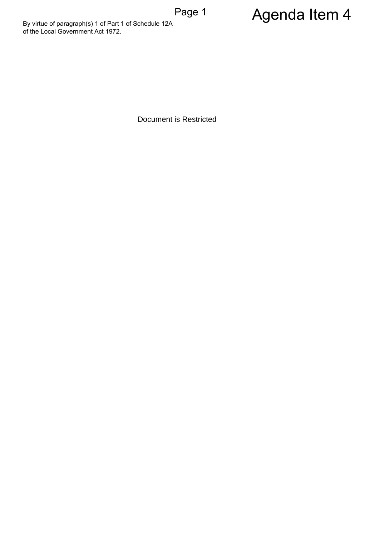By virtue of paragraph(s) 1 of Part 1 of Schedule 12A<br>
of the Local Government Act 1972.<br>
Document is Restricted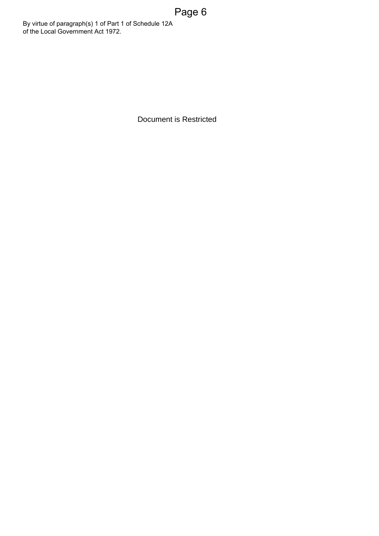Document is Restricted Page 6 By virtue of paragraph(s) 1 of Part 1 of Schedule 12A<br>
of the Local Government Act 1972.<br>
Document is Restricted